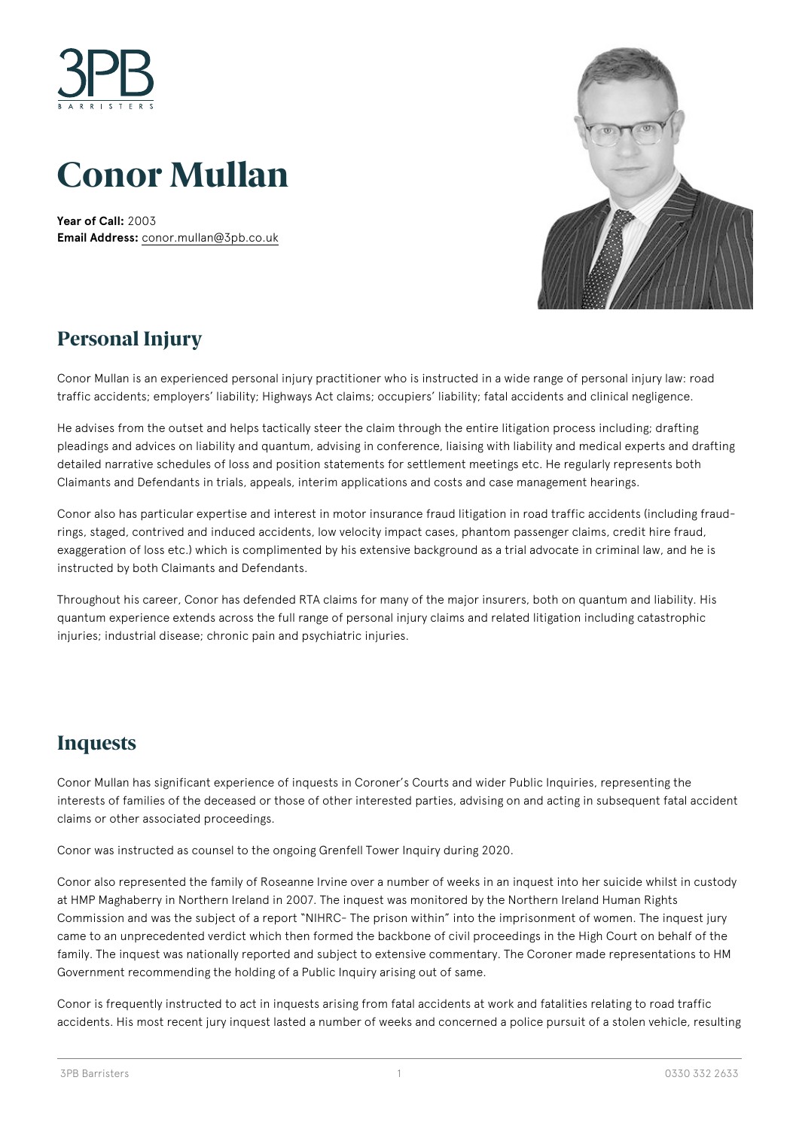

# **Conor Mullan**

**Year of Call:** 2003 **Email Address:** [conor.mullan@3pb.co.uk](mailto:conor.mullan@3pb.co.uk)



#### **Personal Injury**

Conor Mullan is an experienced personal injury practitioner who is instructed in a wide range of personal injury law: road traffic accidents; employers' liability; Highways Act claims; occupiers' liability; fatal accidents and clinical negligence.

He advises from the outset and helps tactically steer the claim through the entire litigation process including; drafting pleadings and advices on liability and quantum, advising in conference, liaising with liability and medical experts and drafting detailed narrative schedules of loss and position statements for settlement meetings etc. He regularly represents both Claimants and Defendants in trials, appeals, interim applications and costs and case management hearings.

Conor also has particular expertise and interest in motor insurance fraud litigation in road traffic accidents (including fraudrings, staged, contrived and induced accidents, low velocity impact cases, phantom passenger claims, credit hire fraud, exaggeration of loss etc.) which is complimented by his extensive background as a trial advocate in criminal law, and he is instructed by both Claimants and Defendants.

Throughout his career, Conor has defended RTA claims for many of the major insurers, both on quantum and liability. His quantum experience extends across the full range of personal injury claims and related litigation including catastrophic injuries; industrial disease; chronic pain and psychiatric injuries.

#### **Inquests**

Conor Mullan has significant experience of inquests in Coroner's Courts and wider Public Inquiries, representing the interests of families of the deceased or those of other interested parties, advising on and acting in subsequent fatal accident claims or other associated proceedings.

Conor was instructed as counsel to the ongoing Grenfell Tower Inquiry during 2020.

Conor also represented the family of Roseanne Irvine over a number of weeks in an inquest into her suicide whilst in custody at HMP Maghaberry in Northern Ireland in 2007. The inquest was monitored by the Northern Ireland Human Rights Commission and was the subject of a report "NIHRC- The prison within" into the imprisonment of women. The inquest jury came to an unprecedented verdict which then formed the backbone of civil proceedings in the High Court on behalf of the family. The inquest was nationally reported and subject to extensive commentary. The Coroner made representations to HM Government recommending the holding of a Public Inquiry arising out of same.

Conor is frequently instructed to act in inquests arising from fatal accidents at work and fatalities relating to road traffic accidents. His most recent jury inquest lasted a number of weeks and concerned a police pursuit of a stolen vehicle, resulting